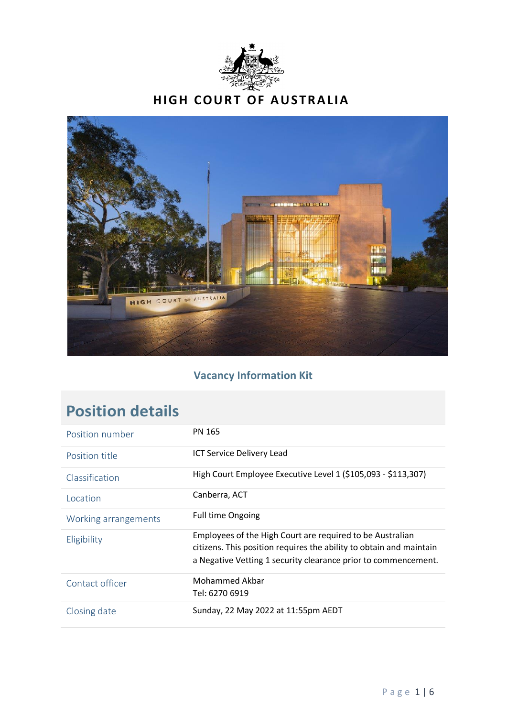



# **Vacancy Information Kit**

| Position number      | <b>PN 165</b>                                                                                                                                                                                      |
|----------------------|----------------------------------------------------------------------------------------------------------------------------------------------------------------------------------------------------|
| Position title       | <b>ICT Service Delivery Lead</b>                                                                                                                                                                   |
| Classification       | High Court Employee Executive Level 1 (\$105,093 - \$113,307)                                                                                                                                      |
| Location             | Canberra, ACT                                                                                                                                                                                      |
| Working arrangements | <b>Full time Ongoing</b>                                                                                                                                                                           |
| Eligibility          | Employees of the High Court are required to be Australian<br>citizens. This position requires the ability to obtain and maintain<br>a Negative Vetting 1 security clearance prior to commencement. |
| Contact officer      | Mohammed Akbar<br>Tel: 6270 6919                                                                                                                                                                   |
| Closing date         | Sunday, 22 May 2022 at 11:55pm AEDT                                                                                                                                                                |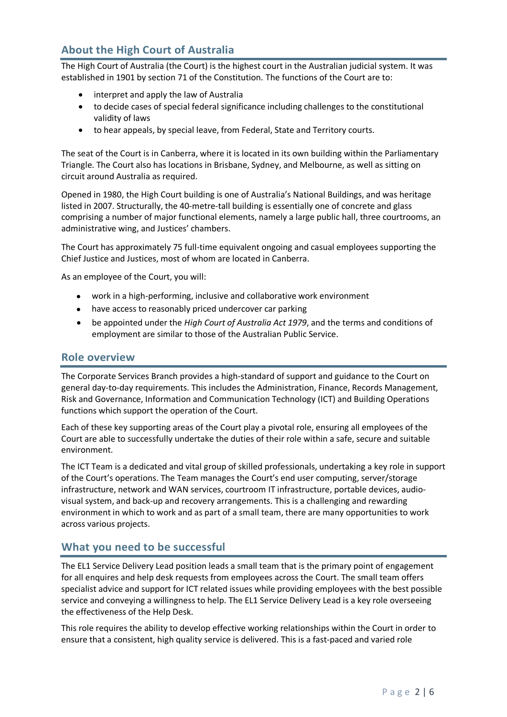## **About the High Court of Australia**

The High Court of Australia (the Court) is the highest court in the Australian judicial system. It was established in 1901 by section 71 of the Constitution. The functions of the Court are to:

- interpret and apply the law of Australia
- to decide cases of special federal significance including challenges to the constitutional validity of laws
- to hear appeals, by special leave, from Federal, State and Territory courts.

The seat of the Court is in Canberra, where it is located in its own building within the Parliamentary Triangle. The Court also has locations in Brisbane, Sydney, and Melbourne, as well as sitting on circuit around Australia as required.

Opened in 1980, the High Court building is one of Australia's National Buildings, and was heritage listed in 2007. Structurally, the 40-metre-tall building is essentially one of concrete and glass comprising a number of major functional elements, namely a large public hall, three courtrooms, an administrative wing, and Justices' chambers.

The Court has approximately 75 full-time equivalent ongoing and casual employees supporting the Chief Justice and Justices, most of whom are located in Canberra.

As an employee of the Court, you will:

- work in a high-performing, inclusive and collaborative work environment
- have access to reasonably priced undercover car parking
- be appointed under the *High Court of Australia Act 1979*, and the terms and conditions of employment are similar to those of the Australian Public Service.

#### **Role overview**

The Corporate Services Branch provides a high-standard of support and guidance to the Court on general day-to-day requirements. This includes the Administration, Finance, Records Management, Risk and Governance, Information and Communication Technology (ICT) and Building Operations functions which support the operation of the Court.

Each of these key supporting areas of the Court play a pivotal role, ensuring all employees of the Court are able to successfully undertake the duties of their role within a safe, secure and suitable environment.

The ICT Team is a dedicated and vital group of skilled professionals, undertaking a key role in support of the Court's operations. The Team manages the Court's end user computing, server/storage infrastructure, network and WAN services, courtroom IT infrastructure, portable devices, audiovisual system, and back-up and recovery arrangements. This is a challenging and rewarding environment in which to work and as part of a small team, there are many opportunities to work across various projects.

### **What you need to be successful**

The EL1 Service Delivery Lead position leads a small team that is the primary point of engagement for all enquires and help desk requests from employees across the Court. The small team offers specialist advice and support for ICT related issues while providing employees with the best possible service and conveying a willingness to help. The EL1 Service Delivery Lead is a key role overseeing the effectiveness of the Help Desk.

This role requires the ability to develop effective working relationships within the Court in order to ensure that a consistent, high quality service is delivered. This is a fast-paced and varied role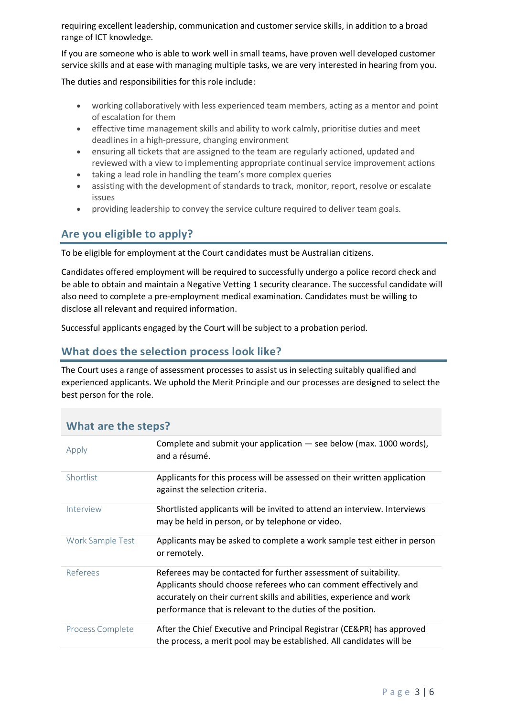requiring excellent leadership, communication and customer service skills, in addition to a broad range of ICT knowledge.

If you are someone who is able to work well in small teams, have proven well developed customer service skills and at ease with managing multiple tasks, we are very interested in hearing from you.

The duties and responsibilities for this role include:

- working collaboratively with less experienced team members, acting as a mentor and point of escalation for them
- effective time management skills and ability to work calmly, prioritise duties and meet deadlines in a high-pressure, changing environment
- ensuring all tickets that are assigned to the team are regularly actioned, updated and reviewed with a view to implementing appropriate continual service improvement actions
- taking a lead role in handling the team's more complex queries
- assisting with the development of standards to track, monitor, report, resolve or escalate issues
- providing leadership to convey the service culture required to deliver team goals.

## **Are you eligible to apply?**

To be eligible for employment at the Court candidates must be Australian citizens.

Candidates offered employment will be required to successfully undergo a police record check and be able to obtain and maintain a Negative Vetting 1 security clearance. The successful candidate will also need to complete a pre-employment medical examination. Candidates must be willing to disclose all relevant and required information.

Successful applicants engaged by the Court will be subject to a probation period.

## **What does the selection process look like?**

The Court uses a range of assessment processes to assist us in selecting suitably qualified and experienced applicants. We uphold the Merit Principle and our processes are designed to select the best person for the role.

| <b><i>VIIIDL DIE LIIE SLEPS!</i></b> |                                                                                                                                                                                                                                                                               |
|--------------------------------------|-------------------------------------------------------------------------------------------------------------------------------------------------------------------------------------------------------------------------------------------------------------------------------|
| Apply                                | Complete and submit your application $-$ see below (max. 1000 words),<br>and a résumé.                                                                                                                                                                                        |
| Shortlist                            | Applicants for this process will be assessed on their written application<br>against the selection criteria.                                                                                                                                                                  |
| Interview                            | Shortlisted applicants will be invited to attend an interview. Interviews<br>may be held in person, or by telephone or video.                                                                                                                                                 |
| Work Sample Test                     | Applicants may be asked to complete a work sample test either in person<br>or remotely.                                                                                                                                                                                       |
| Referees                             | Referees may be contacted for further assessment of suitability.<br>Applicants should choose referees who can comment effectively and<br>accurately on their current skills and abilities, experience and work<br>performance that is relevant to the duties of the position. |
| Process Complete                     | After the Chief Executive and Principal Registrar (CE&PR) has approved<br>the process, a merit pool may be established. All candidates will be                                                                                                                                |

## **What are the steps?**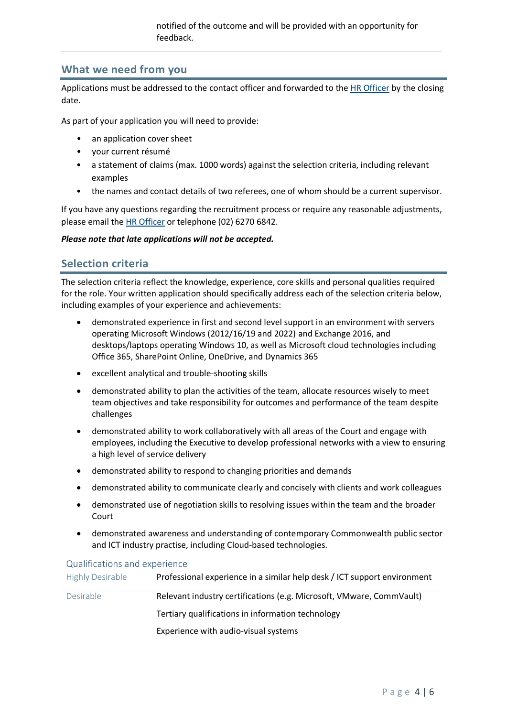### **What we need from you**

Applications must be addressed to the contact officer and forwarded to the [HR Officer](mailto:hr.officer@hcourt.gov.au) by the closing date.

As part of your application you will need to provide:

- an application cover sheet
- your current résumé
- a statement of claims (max. 1000 words) against the selection criteria, including relevant examples
- the names and contact details of two referees, one of whom should be a current supervisor.

If you have any questions regarding the recruitment process or require any reasonable adjustments, please email the [HR Officer](mailto:HR.Officer@hcourt.gov.au) or telephone (02) 6270 6842.

*Please note that late applications will not be accepted.*

### **Selection criteria**

The selection criteria reflect the knowledge, experience, core skills and personal qualities required for the role. Your written application should specifically address each of the selection criteria below, including examples of your experience and achievements:

- demonstrated experience in first and second level support in an environment with servers operating Microsoft Windows (2012/16/19 and 2022) and Exchange 2016, and desktops/laptops operating Windows 10, as well as Microsoft cloud technologies including Office 365, SharePoint Online, OneDrive, and Dynamics 365
- excellent analytical and trouble-shooting skills
- demonstrated ability to plan the activities of the team, allocate resources wisely to meet team objectives and take responsibility for outcomes and performance of the team despite challenges
- demonstrated ability to work collaboratively with all areas of the Court and engage with employees, including the Executive to develop professional networks with a view to ensuring a high level of service delivery
- demonstrated ability to respond to changing priorities and demands
- demonstrated ability to communicate clearly and concisely with clients and work colleagues
- demonstrated use of negotiation skills to resolving issues within the team and the broader Court
- demonstrated awareness and understanding of contemporary Commonwealth public sector and ICT industry practise, including Cloud-based technologies.

| <b>Highly Desirable</b> | Professional experience in a similar help desk / ICT support environment |
|-------------------------|--------------------------------------------------------------------------|
| <b>Desirable</b>        | Relevant industry certifications (e.g. Microsoft, VMware, CommVault)     |
|                         | Tertiary qualifications in information technology                        |
|                         | Experience with audio-visual systems                                     |

#### Qualifications and experience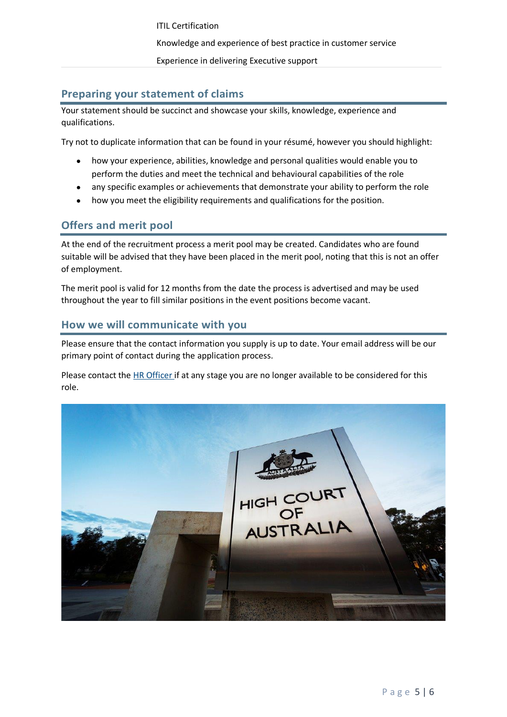ITIL Certification Knowledge and experience of best practice in customer service Experience in delivering Executive support

## **Preparing your statement of claims**

Your statement should be succinct and showcase your skills, knowledge, experience and qualifications.

Try not to duplicate information that can be found in your résumé, however you should highlight:

- how your experience, abilities, knowledge and personal qualities would enable you to perform the duties and meet the technical and behavioural capabilities of the role
- any specific examples or achievements that demonstrate your ability to perform the role
- how you meet the eligibility requirements and qualifications for the position.

## **Offers and merit pool**

At the end of the recruitment process a merit pool may be created. Candidates who are found suitable will be advised that they have been placed in the merit pool, noting that this is not an offer of employment.

The merit pool is valid for 12 months from the date the process is advertised and may be used throughout the year to fill similar positions in the event positions become vacant.

### **How we will communicate with you**

Please ensure that the contact information you supply is up to date. Your email address will be our primary point of contact during the application process.

Please contact the [HR Officer](mailto:HR.Officer@hcourt.gov.au) if at any stage you are no longer available to be considered for this role.